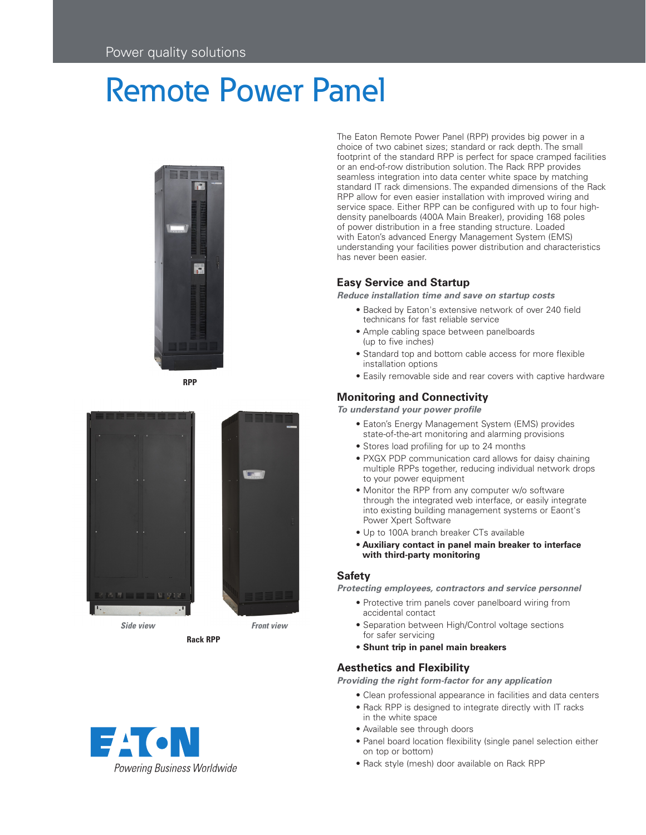# Remote Power Panel



**RPP**





The Eaton Remote Power Panel (RPP) provides big power in a choice of two cabinet sizes; standard or rack depth. The small footprint of the standard RPP is perfect for space cramped facilities or an end-of-row distribution solution. The Rack RPP provides seamless integration into data center white space by matching standard IT rack dimensions. The expanded dimensions of the Rack RPP allow for even easier installation with improved wiring and service space. Either RPP can be configured with up to four highdensity panelboards (400A Main Breaker), providing 168 poles of power distribution in a free standing structure. Loaded with Eaton's advanced Energy Management System (EMS) understanding your facilities power distribution and characteristics has never been easier.

# **Easy Service and Startup**

*Reduce installation time and save on startup costs*

- Backed by Eaton's extensive network of over 240 field technicans for fast reliable service
- Ample cabling space between panelboards (up to five inches)
- Standard top and bottom cable access for more flexible installation options
- Easily removable side and rear covers with captive hardware

# **Monitoring and Connectivity**

*To understand your power profile*

- Eaton's Energy Management System (EMS) provides state-of-the-art monitoring and alarming provisions
- Stores load profiling for up to 24 months
- PXGX PDP communication card allows for daisy chaining multiple RPPs together, reducing individual network drops to your power equipment
- Monitor the RPP from any computer w/o software through the integrated web interface, or easily integrate into existing building management systems or Eaont's Power Xpert Software
- Up to 100A branch breaker CTs available
- **Auxiliary contact in panel main breaker to interface with third-party monitoring**

### **Safety**

*Protecting employees, contractors and service personnel*

- Protective trim panels cover panelboard wiring from accidental contact
- Separation between High/Control voltage sections for safer servicing
- **Shunt trip in panel main breakers**

## **Aesthetics and Flexibility**

*Providing the right form-factor for any application*

- Clean professional appearance in facilities and data centers
- Rack RPP is designed to integrate directly with IT racks in the white space
- Available see through doors
- Panel board location flexibility (single panel selection either on top or bottom)
- Rack style (mesh) door available on Rack RPP